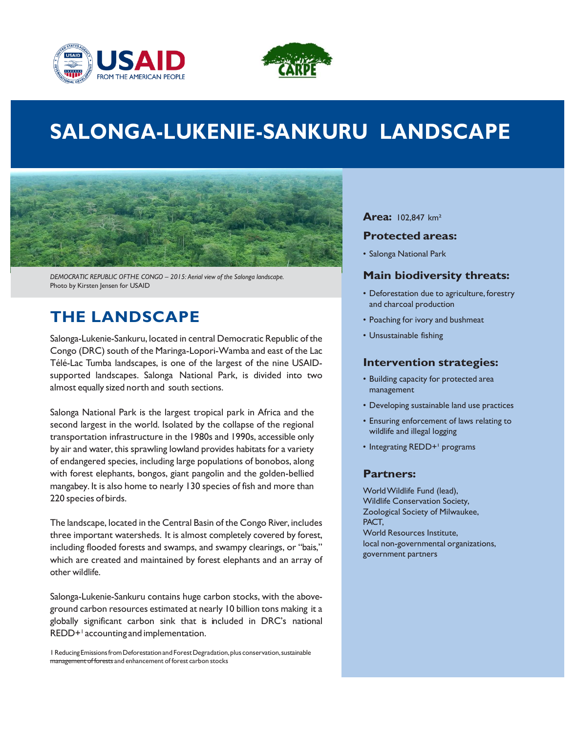



# **SALONGA-LUKENIE-SANKURU LANDSCAPE**



 *DEMOCRATIC REPUBLIC OFTHE CONGO – 2015: Aerial view of the Salonga landscape.*  Photo by Kirsten Jensen for USAID

### **THE LANDSCAPE**

 Salonga-Lukenie-Sankuru, located in central Democratic Republic of the Congo (DRC) south of the Maringa-Lopori-Wamba and east of the Lac Télé-Lac Tumba landscapes, is one of the largest of the nine USAID- supported landscapes. Salonga National Park, is divided into two almost equally sized north and south sections.

 Salonga National Park is the largest tropical park in Africa and the second largest in the world. Isolated by the collapse of the regional transportation infrastructure in the 1980s and 1990s, accessible only by air and water, this sprawling lowland provides habitats for a variety of endangered species, including large populations of bonobos, along with forest elephants, bongos, giant pangolin and the golden-bellied mangabey. It is also home to nearly 130 species of fish and more than 220 species of birds.

 The landscape, located in the Central Basin of the Congo River, includes three important watersheds. It is almost completely covered by forest, including flooded forests and swamps, and swampy clearings, or "bais," which are created and maintained by forest elephants and an array of other wildlife.

 Salonga-Lukenie-Sankuru contains huge carbon stocks, with the above- ground carbon resources estimated at nearly 10 billion tons making it a globally significant carbon sink that is included in DRC's national REDD+<sup>1</sup> accounting and implementation.

 1 Reducing EmissionsfromDeforestation and Forest Degradation,plus conservation, sustainable management of forests and enhancement of forest carbon stocks

### **Area:** 102,847 km²

#### **Protected areas:**

• Salonga National Park

### **Main biodiversity threats:**

- • Deforestation due to agriculture, forestry and charcoal production
- Poaching for ivory and bushmeat
- Unsustainable fishing

### **Intervention strategies:**

- • Building capacity for protected area management
- Developing sustainable land use practices
- • Ensuring enforcement of laws relating to wildlife and illegal logging
- Integrating REDD+<sup>1</sup> programs

### **Partners:**

 WorldWildlife Fund (lead), Wildlife Conservation Society, Zoological Society of Milwaukee, World Resources Institute, PACT, local non-governmental organizations, government partners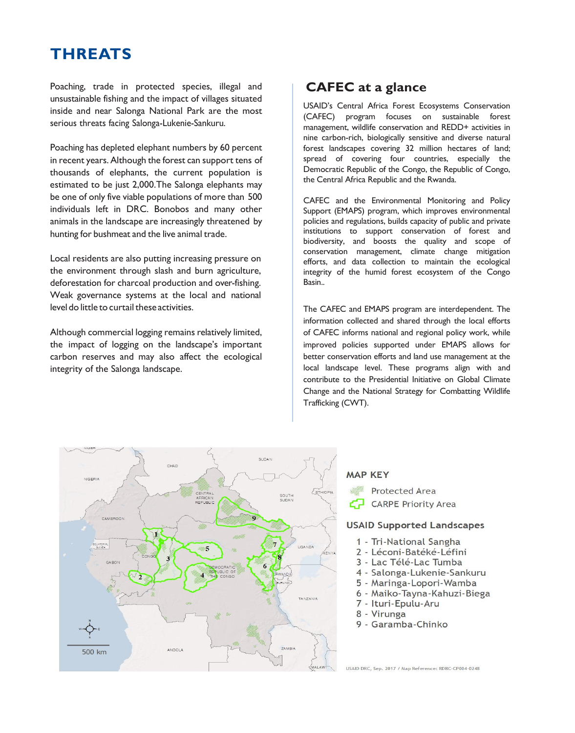# **THREATS**

 Poaching, trade in protected species, illegal and unsustainable fishing and the impact of villages situated inside and near Salonga National Park are the most serious threats facing Salonga-Lukenie-Sankuru.

 Poaching has depleted elephant numbers by 60 percent in recent years. Although the forest can support tens of thousands of elephants, the current population is estimated to be just 2,000.The Salonga elephants may be one of only five viable populations of more than 500 individuals left in DRC. Bonobos and many other animals in the landscape are increasingly threatened by hunting for bushmeat and the live animal trade.

 Local residents are also putting increasing pressure on the environment through slash and burn agriculture, deforestation for charcoal production and over-fishing. Weak governance systems at the local and national level do little to curtail these activities.

 Although commercial logging remains relatively limited, the impact of logging on the landscape's important carbon reserves and may also affect the ecological integrity of the Salonga landscape.

### **CAFEC at a glance**

 USAID's Central Africa Forest Ecosystems Conservation (CAFEC) program focuses on sustainable forest management, wildlife conservation and REDD+ activities in nine carbon-rich, biologically sensitive and diverse natural forest landscapes covering 32 million hectares of land; spread of covering four countries, especially the Democratic Republic of the Congo, the Republic of Congo, the Central Africa Republic and the Rwanda.

 CAFEC and the Environmental Monitoring and Policy Support (EMAPS) program, which improves environmental policies and regulations, builds capacity of public and private institutions to support conservation of forest and biodiversity, and boosts the quality and scope of conservation management, climate change mitigation efforts, and data collection to maintain the ecological integrity of the humid forest ecosystem of the Congo **Basin** 

 The CAFEC and EMAPS program are interdependent. The information collected and shared through the local efforts of CAFEC informs national and regional policy work, while improved policies supported under EMAPS allows for better conservation efforts and land use management at the local landscape level. These programs align with and contribute to the Presidential Initiative on Global Climate Change and the National Strategy for Combatting Wildlife Trafficking (CWT).



#### **MAP KEY**

**Protected Area** 

**CARPE Priority Area** cz

#### **USAID Supported Landscapes**

- 1 Tri-National Sangha
- 2 Léconi-Batéké-Léfini
- 3 Lac Télé-Lac Tumba
- 4 Salonga-Lukenie-Sankuru
- 5 Maringa-Lopori-Wamba
- 6 Maiko-Tayna-Kahuzi-Biega
- 7 Ituri-Epulu-Aru
- 8 Virunga
- 9 Garamba-Chinko

USAID DRC, Sep. 2017 / Map Reference: RDRC-CP004-0248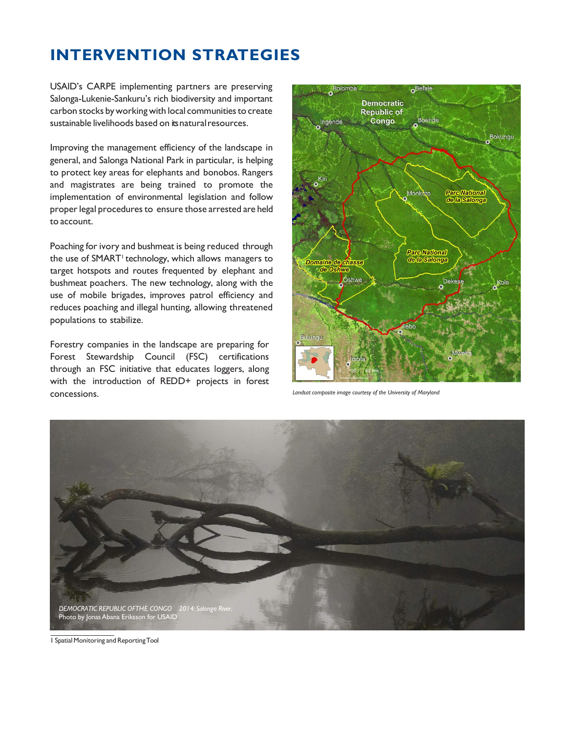# **INTERVENTION STRATEGIES**

 USAID's CARPE implementing partners are preserving Salonga-Lukenie-Sankuru's rich biodiversity and important carbon stocks by working with local communities to create sustainable livelihoods based on itsnaturalresources.

 Improving the management efficiency of the landscape in general, and Salonga National Park in particular, is helping to protect key areas for elephants and bonobos. Rangers and magistrates are being trained to promote the implementation of environmental legislation and follow proper legal procedures to ensure those arrested are held to account.

 Poaching for ivory and bushmeat is being reduced through the use of SMART<sup>1</sup> technology, which allows managers to target hotspots and routes frequented by elephant and bushmeat poachers. The new technology, along with the use of mobile brigades, improves patrol efficiency and reduces poaching and illegal hunting, allowing threatened populations to stabilize.

 Forestry companies in the landscape are preparing for through an FSC initiative that educates loggers, along with the introduction of REDD+ projects in forest **CONCESSIONS.** *Landsat composite image courtesy of the University of Maryland Landsat composite image courtesy of the University of Maryland* Forest Stewardship Council (FSC) certifications





1 Spatial Monitoring and ReportingTool